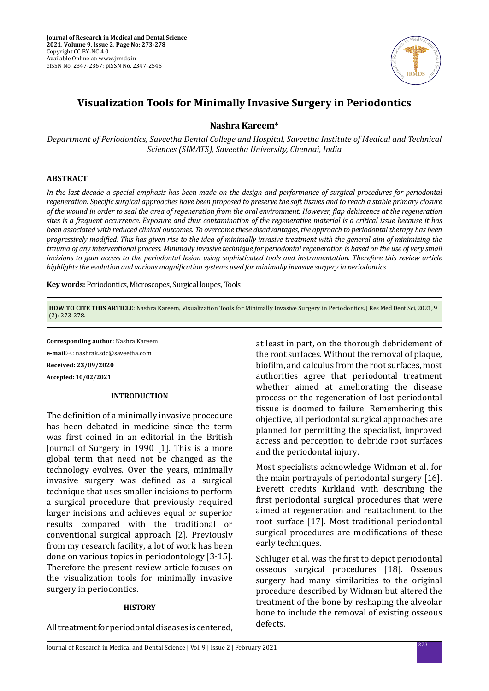

# **Visualization Tools for Minimally Invasive Surgery in Periodontics**

**Nashra Kareem\***

*Department of Periodontics, Saveetha Dental College and Hospital, Saveetha Institute of Medical and Technical Sciences (SIMATS), Saveetha University, Chennai, India*

## **ABSTRACT**

*In the last decade a special emphasis has been made on the design and performance of surgical procedures for periodontal regeneration. Specific surgical approaches have been proposed to preserve the soft tissues and to reach a stable primary closure of the wound in order to seal the area of regeneration from the oral environment. However, flap dehiscence at the regeneration sites is a frequent occurrence. Exposure and thus contamination of the regenerative material is a critical issue because it has been associated with reduced clinical outcomes. To overcome these disadvantages, the approach to periodontal therapy has been progressively modified. This has given rise to the idea of minimally invasive treatment with the general aim of minimizing the trauma of any interventional process. Minimally invasive technique for periodontal regeneration is based on the use of very small incisions to gain access to the periodontal lesion using sophisticated tools and instrumentation. Therefore this review article highlights the evolution and various magnification systems used for minimally invasive surgery in periodontics.*

**Key words:** Periodontics, Microscopes, Surgical loupes, Tools

**HOW TO CITE THIS ARTICLE**: Nashra Kareem, Visualization Tools for Minimally Invasive Surgery in Periodontics, J Res Med Dent Sci, 2021, 9 (2): 273-278.

**Corresponding author**: Nashra Kareem

**e-mail**⊠: nashrak.sdc@saveetha.com **Received: 23/09/2020 Accepted: 10/02/2021**

### **INTRODUCTION**

The definition of a minimally invasive procedure has been debated in medicine since the term was first coined in an editorial in the British Journal of Surgery in 1990 [1]. This is a more global term that need not be changed as the technology evolves. Over the years, minimally invasive surgery was defined as a surgical technique that uses smaller incisions to perform a surgical procedure that previously required larger incisions and achieves equal or superior results compared with the traditional or conventional surgical approach [2]. Previously from my research facility, a lot of work has been done on various topics in periodontology [3-15]. Therefore the present review article focuses on the visualization tools for minimally invasive surgery in periodontics.

#### **HISTORY**

All treatment for periodontal diseases is centered,

at least in part, on the thorough debridement of the root surfaces. Without the removal of plaque, biofilm, and calculus from the root surfaces, most authorities agree that periodontal treatment whether aimed at ameliorating the disease process or the regeneration of lost periodontal tissue is doomed to failure. Remembering this objective, all periodontal surgical approaches are planned for permitting the specialist, improved access and perception to debride root surfaces and the periodontal injury.

Most specialists acknowledge Widman et al. for the main portrayals of periodontal surgery [16]. Everett credits Kirkland with describing the first periodontal surgical procedures that were aimed at regeneration and reattachment to the root surface [17]. Most traditional periodontal surgical procedures are modifications of these early techniques.

Schluger et al. was the first to depict periodontal osseous surgical procedures [18]. Osseous surgery had many similarities to the original procedure described by Widman but altered the treatment of the bone by reshaping the alveolar bone to include the removal of existing osseous defects.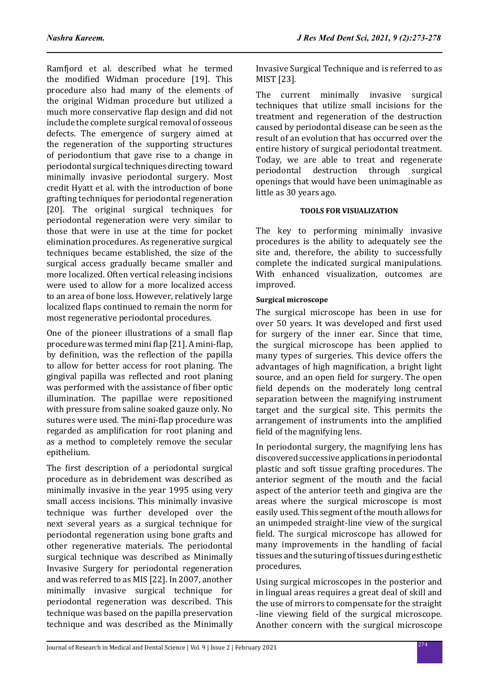Ramfjord et al. described what he termed the modified Widman procedure [19]. This procedure also had many of the elements of the original Widman procedure but utilized a much more conservative flap design and did not include the complete surgical removal of osseous defects. The emergence of surgery aimed at the regeneration of the supporting structures of periodontium that gave rise to a change in periodontal surgical techniques directing toward minimally invasive periodontal surgery. Most credit Hyatt et al. with the introduction of bone grafting techniques for periodontal regeneration [20]. The original surgical techniques for periodontal regeneration were very similar to those that were in use at the time for pocket elimination procedures. As regenerative surgical techniques became established, the size of the surgical access gradually became smaller and more localized. Often vertical releasing incisions were used to allow for a more localized access to an area of bone loss. However, relatively large localized flaps continued to remain the norm for most regenerative periodontal procedures.

One of the pioneer illustrations of a small flap procedure was termed mini flap [21]. A mini-flap, by definition, was the reflection of the papilla to allow for better access for root planing. The gingival papilla was reflected and root planing was performed with the assistance of fiber optic illumination. The papillae were repositioned with pressure from saline soaked gauze only. No sutures were used. The mini-flap procedure was regarded as amplification for root planing and as a method to completely remove the secular epithelium.

The first description of a periodontal surgical procedure as in debridement was described as minimally invasive in the year 1995 using very small access incisions. This minimally invasive technique was further developed over the next several years as a surgical technique for periodontal regeneration using bone grafts and other regenerative materials. The periodontal surgical technique was described as Minimally Invasive Surgery for periodontal regeneration and was referred to as MIS [22]. In 2007, another minimally invasive surgical technique for periodontal regeneration was described. This technique was based on the papilla preservation technique and was described as the Minimally Invasive Surgical Technique and is referred to as MIST [23].

The current minimally invasive surgical techniques that utilize small incisions for the treatment and regeneration of the destruction caused by periodontal disease can be seen as the result of an evolution that has occurred over the entire history of surgical periodontal treatment. Today, we are able to treat and regenerate<br>periodontal destruction through surgical periodontal destruction through surgical openings that would have been unimaginable as little as 30 years ago.

# **TOOLS FOR VISUALIZATION**

The key to performing minimally invasive procedures is the ability to adequately see the site and, therefore, the ability to successfully complete the indicated surgical manipulations. With enhanced visualization, outcomes are improved.

# **Surgical microscope**

The surgical microscope has been in use for over 50 years. It was developed and first used for surgery of the inner ear. Since that time, the surgical microscope has been applied to many types of surgeries. This device offers the advantages of high magnification, a bright light source, and an open field for surgery. The open field depends on the moderately long central separation between the magnifying instrument target and the surgical site. This permits the arrangement of instruments into the amplified field of the magnifying lens.

In periodontal surgery, the magnifying lens has discovered successive applications in periodontal plastic and soft tissue grafting procedures. The anterior segment of the mouth and the facial aspect of the anterior teeth and gingiva are the areas where the surgical microscope is most easily used. This segment of the mouth allows for an unimpeded straight-line view of the surgical field. The surgical microscope has allowed for many improvements in the handling of facial tissues and the suturing of tissues during esthetic procedures.

Using surgical microscopes in the posterior and in lingual areas requires a great deal of skill and the use of mirrors to compensate for the straight -line viewing field of the surgical microscope. Another concern with the surgical microscope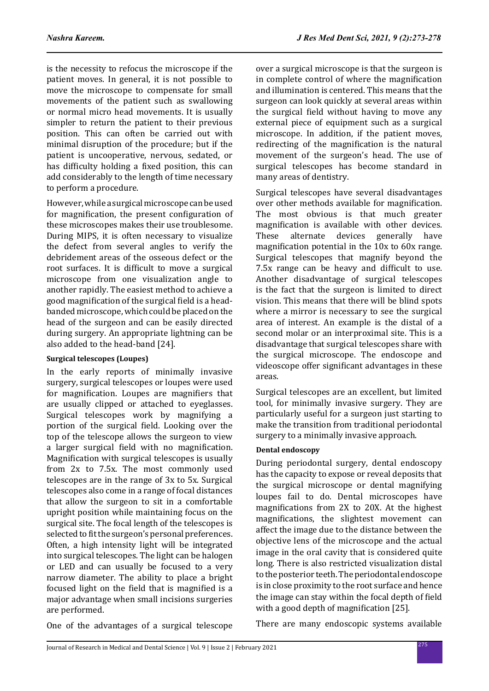is the necessity to refocus the microscope if the patient moves. In general, it is not possible to move the microscope to compensate for small movements of the patient such as swallowing or normal micro head movements. It is usually simpler to return the patient to their previous position. This can often be carried out with minimal disruption of the procedure; but if the patient is uncooperative, nervous, sedated, or has difficulty holding a fixed position, this can add considerably to the length of time necessary to perform a procedure.

However, while a surgical microscope can be used for magnification, the present configuration of these microscopes makes their use troublesome. During MIPS, it is often necessary to visualize the defect from several angles to verify the debridement areas of the osseous defect or the root surfaces. It is difficult to move a surgical microscope from one visualization angle to another rapidly. The easiest method to achieve a good magnification of the surgical field is a headbanded microscope, which could be placed on the head of the surgeon and can be easily directed during surgery. An appropriate lightning can be also added to the head-band [24].

# **Surgical telescopes (Loupes)**

In the early reports of minimally invasive surgery, surgical telescopes or loupes were used for magnification. Loupes are magnifiers that are usually clipped or attached to eyeglasses. Surgical telescopes work by magnifying a portion of the surgical field. Looking over the top of the telescope allows the surgeon to view a larger surgical field with no magnification. Magnification with surgical telescopes is usually from 2x to 7.5x. The most commonly used telescopes are in the range of 3x to 5x. Surgical telescopes also come in a range of focal distances that allow the surgeon to sit in a comfortable upright position while maintaining focus on the surgical site. The focal length of the telescopes is selected to fit the surgeon's personal preferences. Often, a high intensity light will be integrated into surgical telescopes. The light can be halogen or LED and can usually be focused to a very narrow diameter. The ability to place a bright focused light on the field that is magnified is a major advantage when small incisions surgeries are performed.

over a surgical microscope is that the surgeon is in complete control of where the magnification and illumination is centered. This means that the surgeon can look quickly at several areas within the surgical field without having to move any external piece of equipment such as a surgical microscope. In addition, if the patient moves, redirecting of the magnification is the natural movement of the surgeon's head. The use of surgical telescopes has become standard in many areas of dentistry.

Surgical telescopes have several disadvantages over other methods available for magnification. The most obvious is that much greater magnification is available with other devices.<br>These alternate devices generally have alternate devices generally have magnification potential in the 10x to 60x range. Surgical telescopes that magnify beyond the 7.5x range can be heavy and difficult to use. Another disadvantage of surgical telescopes is the fact that the surgeon is limited to direct vision. This means that there will be blind spots where a mirror is necessary to see the surgical area of interest. An example is the distal of a second molar or an interproximal site. This is a disadvantage that surgical telescopes share with the surgical microscope. The endoscope and videoscope offer significant advantages in these areas.

Surgical telescopes are an excellent, but limited tool, for minimally invasive surgery. They are particularly useful for a surgeon just starting to make the transition from traditional periodontal surgery to a minimally invasive approach.

# **Dental endoscopy**

During periodontal surgery, dental endoscopy has the capacity to expose or reveal deposits that the surgical microscope or dental magnifying loupes fail to do. Dental microscopes have magnifications from 2X to 20X. At the highest magnifications, the slightest movement can affect the image due to the distance between the objective lens of the microscope and the actual image in the oral cavity that is considered quite long. There is also restricted visualization distal to the posterior teeth. The periodontal endoscope is in close proximity to the root surface and hence the image can stay within the focal depth of field with a good depth of magnification [25].

One of the advantages of a surgical telescope

There are many endoscopic systems available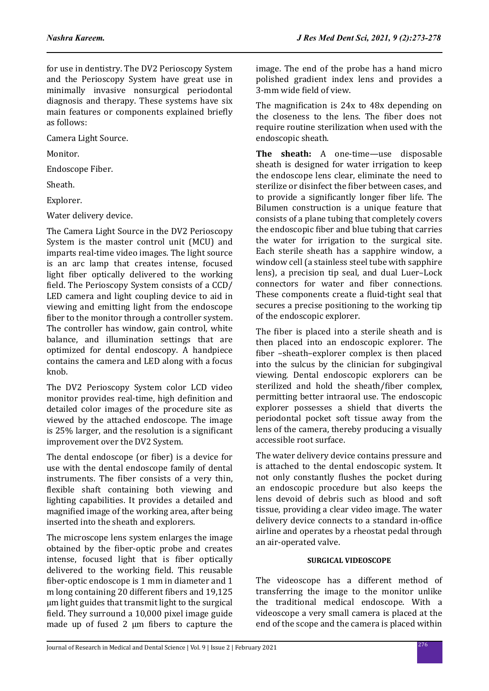for use in dentistry. The DV2 Perioscopy System and the Perioscopy System have great use in minimally invasive nonsurgical periodontal diagnosis and therapy. These systems have six main features or components explained briefly as follows:

Camera Light Source.

Monitor.

Endoscope Fiber.

Sheath.

Explorer.

Water delivery device.

The Camera Light Source in the DV2 Perioscopy System is the master control unit (MCU) and imparts real-time video images. The light source is an arc lamp that creates intense, focused light fiber optically delivered to the working field. The Perioscopy System consists of a CCD/ LED camera and light coupling device to aid in viewing and emitting light from the endoscope fiber to the monitor through a controller system. The controller has window, gain control, white balance, and illumination settings that are optimized for dental endoscopy. A handpiece contains the camera and LED along with a focus knob.

The DV2 Perioscopy System color LCD video monitor provides real-time, high definition and detailed color images of the procedure site as viewed by the attached endoscope. The image is 25% larger, and the resolution is a significant improvement over the DV2 System.

The dental endoscope (or fiber) is a device for use with the dental endoscope family of dental instruments. The fiber consists of a very thin, flexible shaft containing both viewing and lighting capabilities. It provides a detailed and magnified image of the working area, after being inserted into the sheath and explorers.

The microscope lens system enlarges the image obtained by the fiber-optic probe and creates intense, focused light that is fiber optically delivered to the working field. This reusable fiber-optic endoscope is 1 mm in diameter and 1 m long containing 20 different fibers and 19,125 μm light guides that transmit light to the surgical field. They surround a 10,000 pixel image guide made up of fused 2 μm fibers to capture the image. The end of the probe has a hand micro polished gradient index lens and provides a 3-mm wide field of view.

The magnification is 24x to 48x depending on the closeness to the lens. The fiber does not require routine sterilization when used with the endoscopic sheath.

**The sheath:** A one-time—use disposable sheath is designed for water irrigation to keep the endoscope lens clear, eliminate the need to sterilize or disinfect the fiber between cases, and to provide a significantly longer fiber life. The Bilumen construction is a unique feature that consists of a plane tubing that completely covers the endoscopic fiber and blue tubing that carries the water for irrigation to the surgical site. Each sterile sheath has a sapphire window, a window cell (a stainless steel tube with sapphire lens), a precision tip seal, and dual Luer–Lock connectors for water and fiber connections. These components create a fluid-tight seal that secures a precise positioning to the working tip of the endoscopic explorer.

The fiber is placed into a sterile sheath and is then placed into an endoscopic explorer. The fiber –sheath–explorer complex is then placed into the sulcus by the clinician for subgingival viewing. Dental endoscopic explorers can be sterilized and hold the sheath/fiber complex, permitting better intraoral use. The endoscopic explorer possesses a shield that diverts the periodontal pocket soft tissue away from the lens of the camera, thereby producing a visually accessible root surface.

The water delivery device contains pressure and is attached to the dental endoscopic system. It not only constantly flushes the pocket during an endoscopic procedure but also keeps the lens devoid of debris such as blood and soft tissue, providing a clear video image. The water delivery device connects to a standard in-office airline and operates by a rheostat pedal through an air-operated valve.

# **SURGICAL VIDEOSCOPE**

The videoscope has a different method of transferring the image to the monitor unlike the traditional medical endoscope. With a videoscope a very small camera is placed at the end of the scope and the camera is placed within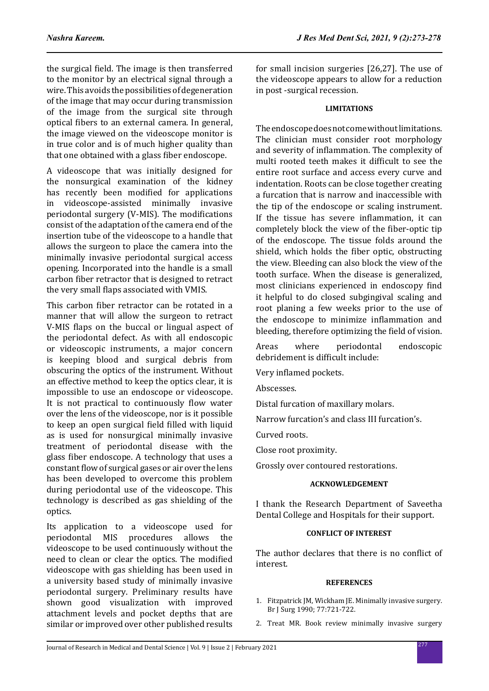the surgical field. The image is then transferred to the monitor by an electrical signal through a wire. This avoids the possibilities of degeneration of the image that may occur during transmission of the image from the surgical site through optical fibers to an external camera. In general, the image viewed on the videoscope monitor is in true color and is of much higher quality than that one obtained with a glass fiber endoscope.

A videoscope that was initially designed for the nonsurgical examination of the kidney has recently been modified for applications in videoscope-assisted minimally invasive periodontal surgery (V-MIS). The modifications consist of the adaptation of the camera end of the insertion tube of the videoscope to a handle that allows the surgeon to place the camera into the minimally invasive periodontal surgical access opening. Incorporated into the handle is a small carbon fiber retractor that is designed to retract the very small flaps associated with VMIS.

This carbon fiber retractor can be rotated in a manner that will allow the surgeon to retract V-MIS flaps on the buccal or lingual aspect of the periodontal defect. As with all endoscopic or videoscopic instruments, a major concern is keeping blood and surgical debris from obscuring the optics of the instrument. Without an effective method to keep the optics clear, it is impossible to use an endoscope or videoscope. It is not practical to continuously flow water over the lens of the videoscope, nor is it possible to keep an open surgical field filled with liquid as is used for nonsurgical minimally invasive treatment of periodontal disease with the glass fiber endoscope. A technology that uses a constant flow of surgical gases or air over the lens has been developed to overcome this problem during periodontal use of the videoscope. This technology is described as gas shielding of the optics.

Its application to a videoscope used for<br>periodontal MIS procedures allows the periodontal MIS videoscope to be used continuously without the need to clean or clear the optics. The modified videoscope with gas shielding has been used in a university based study of minimally invasive periodontal surgery. Preliminary results have shown good visualization with improved attachment levels and pocket depths that are similar or improved over other published results for small incision surgeries [26,27]. The use of the videoscope appears to allow for a reduction in post -surgical recession.

# **LIMITATIONS**

The endoscope does not come without limitations. The clinician must consider root morphology and severity of inflammation. The complexity of multi rooted teeth makes it difficult to see the entire root surface and access every curve and indentation. Roots can be close together creating a furcation that is narrow and inaccessible with the tip of the endoscope or scaling instrument. If the tissue has severe inflammation, it can completely block the view of the fiber-optic tip of the endoscope. The tissue folds around the shield, which holds the fiber optic, obstructing the view. Bleeding can also block the view of the tooth surface. When the disease is generalized, most clinicians experienced in endoscopy find it helpful to do closed subgingival scaling and root planing a few weeks prior to the use of the endoscope to minimize inflammation and bleeding, therefore optimizing the field of vision.

Areas where periodontal endoscopic debridement is difficult include:

Very inflamed pockets.

Abscesses.

Distal furcation of maxillary molars.

Narrow furcation's and class III furcation's.

Curved roots.

Close root proximity.

Grossly over contoured restorations.

### **ACKNOWLEDGEMENT**

I thank the Research Department of Saveetha Dental College and Hospitals for their support.

### **CONFLICT OF INTEREST**

The author declares that there is no conflict of interest.

### **REFERENCES**

- 1. Fitzpatrick JM, Wickham JE. Minimally invasive surgery. Br J Surg 1990; 77:721-722.
- 2. Treat MR. Book review minimally invasive surgery